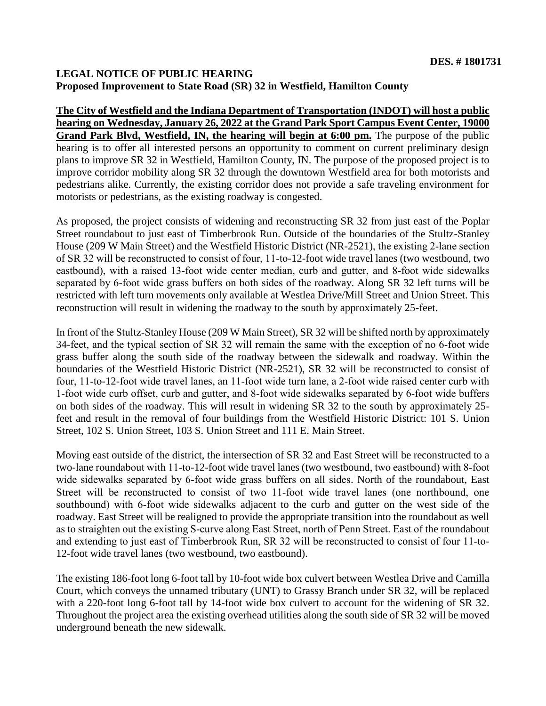## **LEGAL NOTICE OF PUBLIC HEARING Proposed Improvement to State Road (SR) 32 in Westfield, Hamilton County**

**The City of Westfield and the Indiana Department of Transportation (INDOT) will host a public hearing on Wednesday, January 26, 2022 at the Grand Park Sport Campus Event Center, 19000 Grand Park Blvd, Westfield, IN, the hearing will begin at 6:00 pm.** The purpose of the public hearing is to offer all interested persons an opportunity to comment on current preliminary design plans to improve SR 32 in Westfield, Hamilton County, IN. The purpose of the proposed project is to improve corridor mobility along SR 32 through the downtown Westfield area for both motorists and pedestrians alike. Currently, the existing corridor does not provide a safe traveling environment for motorists or pedestrians, as the existing roadway is congested.

As proposed, the project consists of widening and reconstructing SR 32 from just east of the Poplar Street roundabout to just east of Timberbrook Run. Outside of the boundaries of the Stultz-Stanley House (209 W Main Street) and the Westfield Historic District (NR-2521), the existing 2‐lane section of SR 32 will be reconstructed to consist of four, 11‐to-12-foot wide travel lanes (two westbound, two eastbound), with a raised 13‐foot wide center median, curb and gutter, and 8‐foot wide sidewalks separated by 6‐foot wide grass buffers on both sides of the roadway. Along SR 32 left turns will be restricted with left turn movements only available at Westlea Drive/Mill Street and Union Street. This reconstruction will result in widening the roadway to the south by approximately 25-feet.

In front of the Stultz‐Stanley House (209 W Main Street), SR 32 will be shifted north by approximately 34-feet, and the typical section of SR 32 will remain the same with the exception of no 6‐foot wide grass buffer along the south side of the roadway between the sidewalk and roadway. Within the boundaries of the Westfield Historic District (NR-2521), SR 32 will be reconstructed to consist of four, 11-to-12-foot wide travel lanes, an 11-foot wide turn lane, a 2-foot wide raised center curb with 1‐foot wide curb offset, curb and gutter, and 8‐foot wide sidewalks separated by 6‐foot wide buffers on both sides of the roadway. This will result in widening SR 32 to the south by approximately 25 feet and result in the removal of four buildings from the Westfield Historic District: 101 S. Union Street, 102 S. Union Street, 103 S. Union Street and 111 E. Main Street.

Moving east outside of the district, the intersection of SR 32 and East Street will be reconstructed to a two-lane roundabout with 11‐to-12-foot wide travel lanes (two westbound, two eastbound) with 8‐foot wide sidewalks separated by 6‐foot wide grass buffers on all sides. North of the roundabout, East Street will be reconstructed to consist of two 11‐foot wide travel lanes (one northbound, one southbound) with 6-foot wide sidewalks adjacent to the curb and gutter on the west side of the roadway. East Street will be realigned to provide the appropriate transition into the roundabout as well as to straighten out the existing S‐curve along East Street, north of Penn Street. East of the roundabout and extending to just east of Timberbrook Run, SR 32 will be reconstructed to consist of four 11‐to-12-foot wide travel lanes (two westbound, two eastbound).

The existing 186-foot long 6-foot tall by 10-foot wide box culvert between Westlea Drive and Camilla Court, which conveys the unnamed tributary (UNT) to Grassy Branch under SR 32, will be replaced with a 220-foot long 6-foot tall by 14-foot wide box culvert to account for the widening of SR 32. Throughout the project area the existing overhead utilities along the south side of SR 32 will be moved underground beneath the new sidewalk.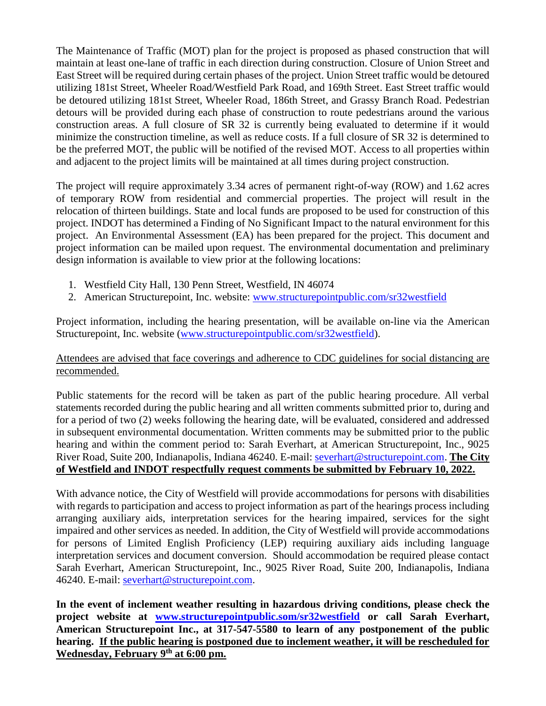The Maintenance of Traffic (MOT) plan for the project is proposed as phased construction that will maintain at least one-lane of traffic in each direction during construction. Closure of Union Street and East Street will be required during certain phases of the project. Union Street traffic would be detoured utilizing 181st Street, Wheeler Road/Westfield Park Road, and 169th Street. East Street traffic would be detoured utilizing 181st Street, Wheeler Road, 186th Street, and Grassy Branch Road. Pedestrian detours will be provided during each phase of construction to route pedestrians around the various construction areas. A full closure of SR 32 is currently being evaluated to determine if it would minimize the construction timeline, as well as reduce costs. If a full closure of SR 32 is determined to be the preferred MOT, the public will be notified of the revised MOT. Access to all properties within and adjacent to the project limits will be maintained at all times during project construction.

The project will require approximately 3.34 acres of permanent right-of-way (ROW) and 1.62 acres of temporary ROW from residential and commercial properties. The project will result in the relocation of thirteen buildings. State and local funds are proposed to be used for construction of this project. INDOT has determined a Finding of No Significant Impact to the natural environment for this project. An Environmental Assessment (EA) has been prepared for the project. This document and project information can be mailed upon request. The environmental documentation and preliminary design information is available to view prior at the following locations:

- 1. Westfield City Hall, 130 Penn Street, Westfield, IN 46074
- 2. American Structurepoint, Inc. website: [www.structurepointpublic.com/sr32westfield](http://www.structurepointpublic.com/sr32westfield)

Project information, including the hearing presentation, will be available on-line via the American Structurepoint, Inc. website [\(www.structurepointpublic.com/sr32westfield\)](http://www.structurepointpublic.com/sr32westfield).

## Attendees are advised that face coverings and adherence to CDC guidelines for social distancing are recommended.

Public statements for the record will be taken as part of the public hearing procedure. All verbal statements recorded during the public hearing and all written comments submitted prior to, during and for a period of two (2) weeks following the hearing date, will be evaluated, considered and addressed in subsequent environmental documentation. Written comments may be submitted prior to the public hearing and within the comment period to: Sarah Everhart, at American Structurepoint, Inc., 9025 River Road, Suite 200, Indianapolis, Indiana 46240. E-mail: [severhart@structurepoint.com.](mailto:severhart@structurepoint.com) **The City of Westfield and INDOT respectfully request comments be submitted by February 10, 2022.**

With advance notice, the City of Westfield will provide accommodations for persons with disabilities with regards to participation and access to project information as part of the hearings process including arranging auxiliary aids, interpretation services for the hearing impaired, services for the sight impaired and other services as needed. In addition, the City of Westfield will provide accommodations for persons of Limited English Proficiency (LEP) requiring auxiliary aids including language interpretation services and document conversion. Should accommodation be required please contact Sarah Everhart, American Structurepoint, Inc., 9025 River Road, Suite 200, Indianapolis, Indiana 46240. E-mail: [severhart@structurepoint.com.](mailto:severhart@structurepoint.com)

**In the event of inclement weather resulting in hazardous driving conditions, please check the project website at [www.structurepointpublic.som/sr32westfield](http://www.structurepointpublic.som/sr32westfield) or call Sarah Everhart, American Structurepoint Inc., at 317-547-5580 to learn of any postponement of the public hearing. If the public hearing is postponed due to inclement weather, it will be rescheduled for Wednesday, February 9th at 6:00 pm.**